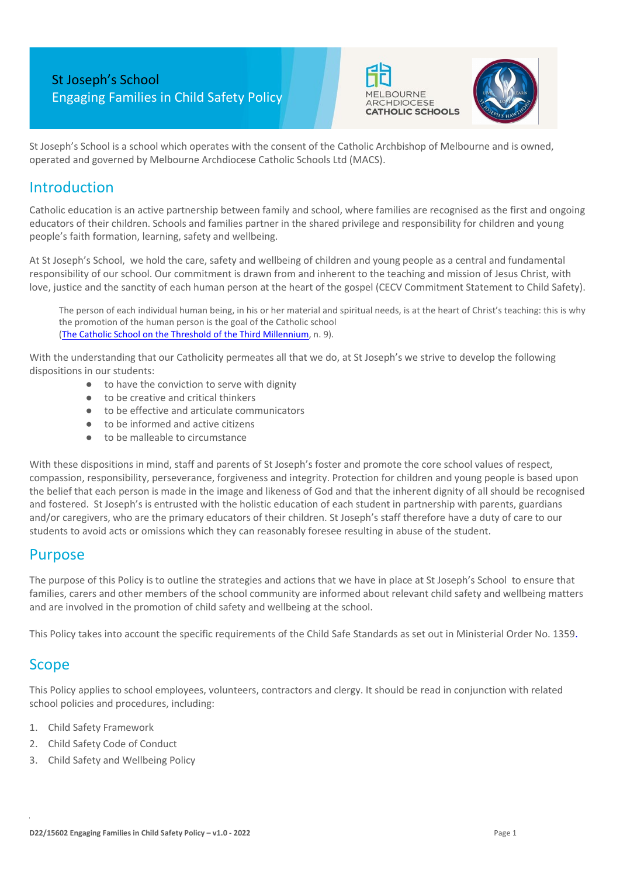# St Joseph's School Engaging Families in Child Safety Policy The MELBOURNE ARCHDIOCESE





St Joseph's School is a school which operates with the consent of the Catholic Archbishop of Melbourne and is owned, operated and governed by Melbourne Archdiocese Catholic Schools Ltd (MACS).

## **Introduction**

Catholic education is an active partnership between family and school, where families are recognised as the first and ongoing educators of their children. Schools and families partner in the shared privilege and responsibility for children and young people's faith formation, learning, safety and wellbeing.

At St Joseph's School, we hold the care, safety and wellbeing of children and young people as a central and fundamental responsibility of our school. Our commitment is drawn from and inherent to the teaching and mission of Jesus Christ, with love, justice and the sanctity of each human person at the heart of the gospel (CECV Commitment Statement to Child Safety).

The person of each individual human being, in his or her material and spiritual needs, is at the heart of Christ's teaching: this is why the promotion of the human person is the goal of the Catholic school [\(The Catholic School on the Threshold of the Third Millennium,](http://www.vatican.va/roman_curia/congregations/ccatheduc/documents/rc_con_ccatheduc_doc_27041998_school2000_en.html) n. 9).

With the understanding that our Catholicity permeates all that we do, at St Joseph's we strive to develop the following dispositions in our students:

- to have the conviction to serve with dignity
- to be creative and critical thinkers
- to be effective and articulate communicators
- to be informed and active citizens
- to be malleable to circumstance

With these dispositions in mind, staff and parents of St Joseph's foster and promote the core school values of respect, compassion, responsibility, perseverance, forgiveness and integrity. Protection for children and young people is based upon the belief that each person is made in the image and likeness of God and that the inherent dignity of all should be recognised and fostered. St Joseph's is entrusted with the holistic education of each student in partnership with parents, guardians and/or caregivers, who are the primary educators of their children. St Joseph's staff therefore have a duty of care to our students to avoid acts or omissions which they can reasonably foresee resulting in abuse of the student.

### Purpose

The purpose of this Policy is to outline the strategies and actions that we have in place at St Joseph's School to ensure that families, carers and other members of the school community are informed about relevant child safety and wellbeing matters and are involved in the promotion of child safety and wellbeing at the school.

This Policy takes into account the specific requirements of the Child Safe Standards as set out in Ministerial Order No. 1359.

### **Scope**

This Policy applies to school employees, volunteers, contractors and clergy. It should be read in conjunction with related school policies and procedures, including:

- 1. Child Safety Framework
- 2. Child Safety Code of Conduct
- 3. Child Safety and Wellbeing Policy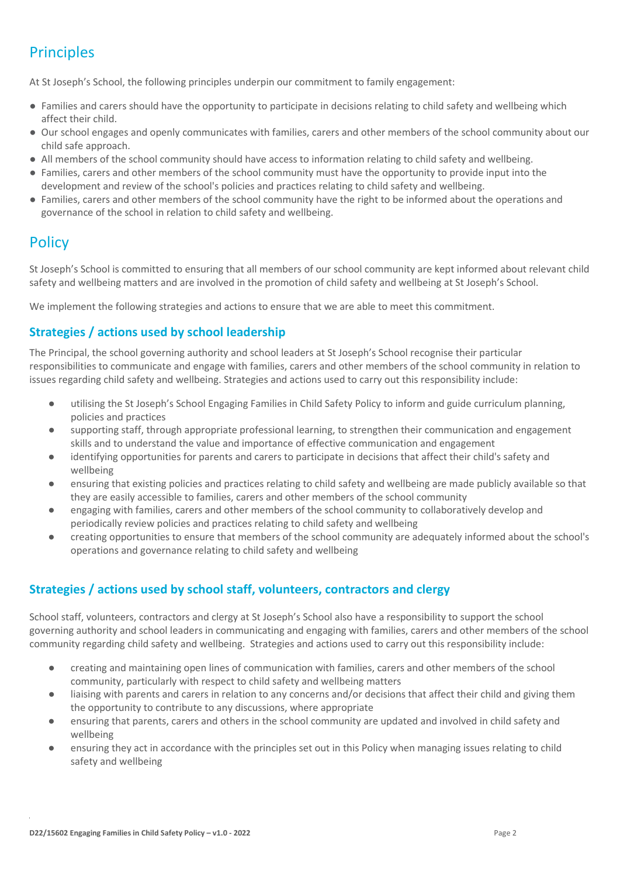# **Principles**

At St Joseph's School, the following principles underpin our commitment to family engagement:

- Families and carers should have the opportunity to participate in decisions relating to child safety and wellbeing which affect their child.
- Our school engages and openly communicates with families, carers and other members of the school community about our child safe approach.
- All members of the school community should have access to information relating to child safety and wellbeing.
- Families, carers and other members of the school community must have the opportunity to provide input into the development and review of the school's policies and practices relating to child safety and wellbeing.
- Families, carers and other members of the school community have the right to be informed about the operations and governance of the school in relation to child safety and wellbeing.

## **Policy**

St Joseph's School is committed to ensuring that all members of our school community are kept informed about relevant child safety and wellbeing matters and are involved in the promotion of child safety and wellbeing at St Joseph's School.

We implement the following strategies and actions to ensure that we are able to meet this commitment.

#### **Strategies / actions used by school leadership**

The Principal, the school governing authority and school leaders at St Joseph's School recognise their particular responsibilities to communicate and engage with families, carers and other members of the school community in relation to issues regarding child safety and wellbeing. Strategies and actions used to carry out this responsibility include:

- utilising the St Joseph's School Engaging Families in Child Safety Policy to inform and guide curriculum planning, policies and practices
- supporting staff, through appropriate professional learning, to strengthen their communication and engagement skills and to understand the value and importance of effective communication and engagement
- identifying opportunities for parents and carers to participate in decisions that affect their child's safety and wellbeing
- ensuring that existing policies and practices relating to child safety and wellbeing are made publicly available so that they are easily accessible to families, carers and other members of the school community
- engaging with families, carers and other members of the school community to collaboratively develop and periodically review policies and practices relating to child safety and wellbeing
- creating opportunities to ensure that members of the school community are adequately informed about the school's operations and governance relating to child safety and wellbeing

#### **Strategies / actions used by school staff, volunteers, contractors and clergy**

School staff, volunteers, contractors and clergy at St Joseph's School also have a responsibility to support the school governing authority and school leaders in communicating and engaging with families, carers and other members of the school community regarding child safety and wellbeing. Strategies and actions used to carry out this responsibility include:

- creating and maintaining open lines of communication with families, carers and other members of the school community, particularly with respect to child safety and wellbeing matters
- liaising with parents and carers in relation to any concerns and/or decisions that affect their child and giving them the opportunity to contribute to any discussions, where appropriate
- ensuring that parents, carers and others in the school community are updated and involved in child safety and wellbeing
- ensuring they act in accordance with the principles set out in this Policy when managing issues relating to child safety and wellbeing